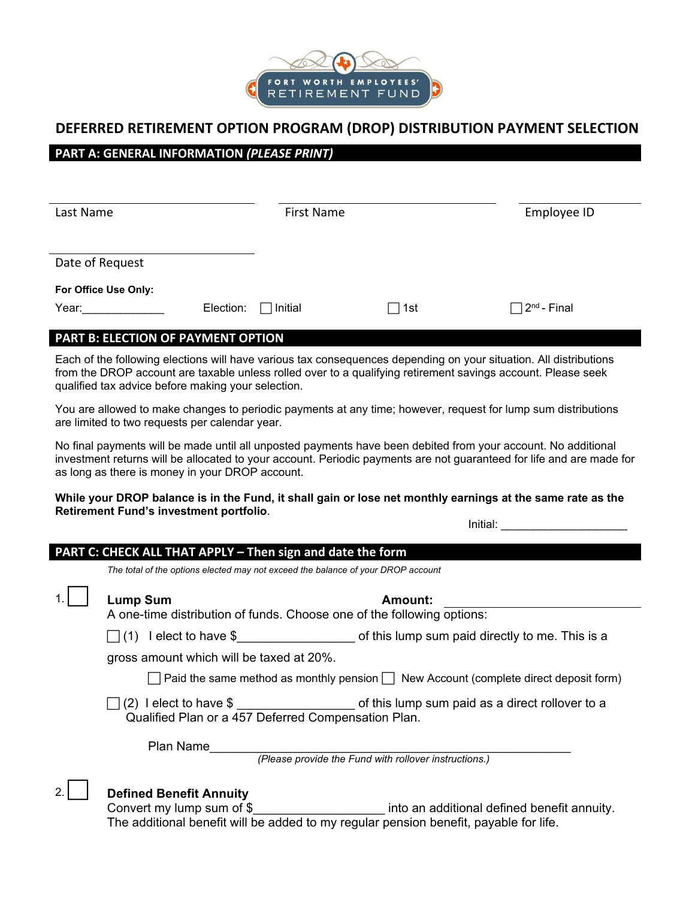

# **DEFERRED RETIREMENT OPTION PROGRAM (DROP) DISTRIBUTION PAYMENT SELECTION**

## **PART A: GENERAL INFORMATION** *(PLEASE PRINT)*

| Last Name            |           | <b>First Name</b> |                 | Employee ID                    |
|----------------------|-----------|-------------------|-----------------|--------------------------------|
|                      |           |                   |                 |                                |
| Date of Request      |           |                   |                 |                                |
| For Office Use Only: |           |                   |                 |                                |
| Year:                | Election: | Initial           | $\sqsupset$ 1st | $\Box$ 2 <sup>nd</sup> - Final |

### **PART B: ELECTION OF PAYMENT OPTION**

Each of the following elections will have various tax consequences depending on your situation. All distributions from the DROP account are taxable unless rolled over to a qualifying retirement savings account. Please seek qualified tax advice before making your selection.

You are allowed to make changes to periodic payments at any time; however, request for lump sum distributions are limited to two requests per calendar year.

No final payments will be made until all unposted payments have been debited from your account. No additional investment returns will be allocated to your account. Periodic payments are not guaranteed for life and are made for as long as there is money in your DROP account.

#### **While your DROP balance is in the Fund, it shall gain or lose net monthly earnings at the same rate as the Retirement Fund's investment portfolio**.

Initial:

| PART C: CHECK ALL THAT APPLY - Then sign and date the form |                                                                                                                                                           |                                                                    |  |  |  |
|------------------------------------------------------------|-----------------------------------------------------------------------------------------------------------------------------------------------------------|--------------------------------------------------------------------|--|--|--|
|                                                            | The total of the options elected may not exceed the balance of your DROP account                                                                          |                                                                    |  |  |  |
|                                                            | <b>Lump Sum</b>                                                                                                                                           | Amount:                                                            |  |  |  |
|                                                            | A one-time distribution of funds. Choose one of the following options:                                                                                    |                                                                    |  |  |  |
|                                                            |                                                                                                                                                           | I elect to have \$ of this lump sum paid directly to me. This is a |  |  |  |
|                                                            | gross amount which will be taxed at 20%.                                                                                                                  |                                                                    |  |  |  |
|                                                            | $\Box$ Paid the same method as monthly pension $\Box$ New Account (complete direct deposit form)                                                          |                                                                    |  |  |  |
|                                                            | $\Box$ (2) Telect to have \$ _____________________ of this lump sum paid as a direct rollover to a<br>Qualified Plan or a 457 Deferred Compensation Plan. |                                                                    |  |  |  |
|                                                            | Plan Name                                                                                                                                                 |                                                                    |  |  |  |
|                                                            | (Please provide the Fund with rollover instructions.)                                                                                                     |                                                                    |  |  |  |
|                                                            | <b>Defined Benefit Annuity</b><br>Convert my lumn cum of $\ell$                                                                                           | into an additional defined henefit annuity                         |  |  |  |

Convert my lump sum of \$\_\_\_\_\_\_\_\_\_\_\_\_\_\_\_\_\_\_\_ into an additional defined benefit annuity. The additional benefit will be added to my regular pension benefit, payable for life.